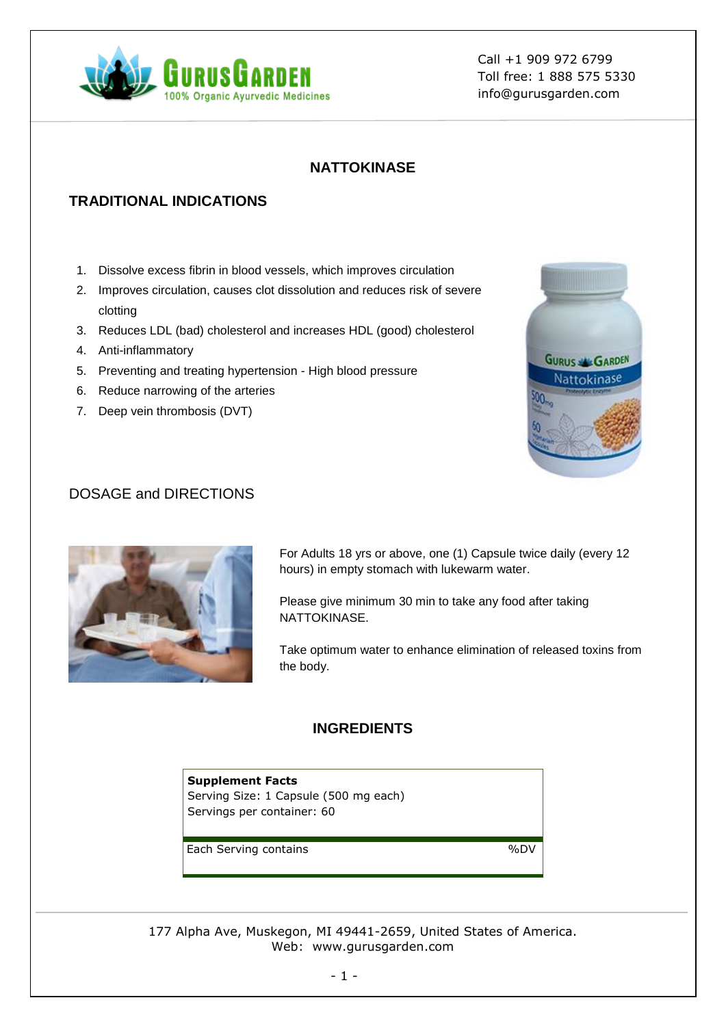

Call +1 909 972 6799 Toll free: 1 888 575 5330 info@gurusgarden.com

### **NATTOKINASE**

# **TRADITIONAL INDICATIONS**

- 1. Dissolve excess fibrin in blood vessels, which improves circulation
- 2. Improves circulation, causes clot dissolution and reduces risk of severe clotting
- 3. Reduces LDL (bad) cholesterol and increases HDL (good) cholesterol
- 4. Anti-inflammatory
- 5. Preventing and treating hypertension High blood pressure
- 6. Reduce narrowing of the arteries
- 7. Deep vein thrombosis (DVT)



### DOSAGE and DIRECTIONS



For Adults 18 yrs or above, one (1) Capsule twice daily (every 12 hours) in empty stomach with lukewarm water.

Please give minimum 30 min to take any food after taking NATTOKINASE.

Take optimum water to enhance elimination of released toxins from the body.

#### **INGREDIENTS**

**Supplement Facts** Serving Size: 1 Capsule (500 mg each) Servings per container: 60

Each Serving contains  $\%$ DV

177 Alpha Ave, Muskegon, MI 49441-2659, United States of America. Web: www.gurusgarden.com